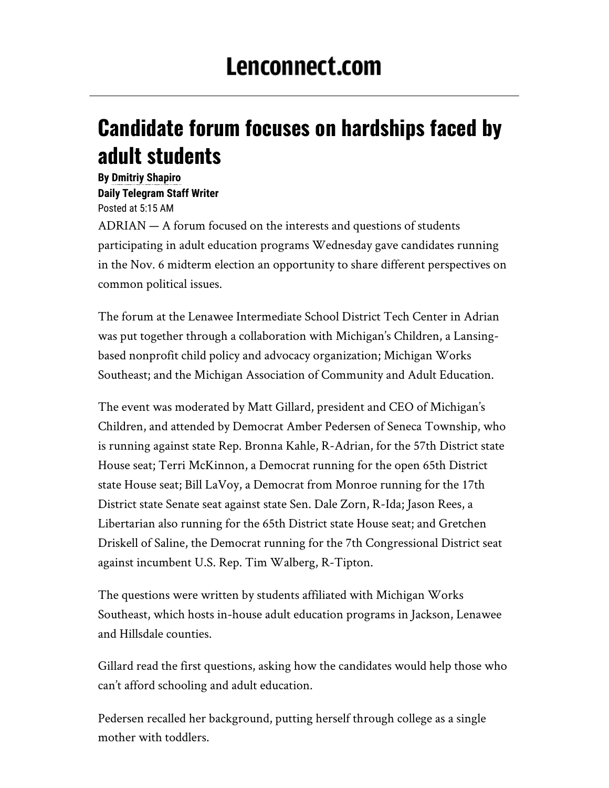## **Candidate forum focuses on hardships faced by adult students**

**By [Dmitriy Shapiro](mailto:dshapiro@lenconnect.com) Daily Telegram Staff Writer**  Posted at 5:15 AM ADRIAN — A forum focused on the interests and questions of students participating in adult education programs Wednesday gave candidates running in the Nov. 6 midterm election an opportunity to share different perspectives on common political issues.

The forum at the Lenawee Intermediate School District Tech Center in Adrian was put together through a collaboration with Michigan's Children, a Lansingbased nonprofit child policy and advocacy organization; Michigan Works Southeast; and the Michigan Association of Community and Adult Education.

The event was moderated by Matt Gillard, president and CEO of Michigan's Children, and attended by Democrat Amber Pedersen of Seneca Township, who is running against state Rep. Bronna Kahle, R-Adrian, for the 57th District state House seat; Terri McKinnon, a Democrat running for the open 65th District state House seat; Bill LaVoy, a Democrat from Monroe running for the 17th District state Senate seat against state Sen. Dale Zorn, R-Ida; Jason Rees, a Libertarian also running for the 65th District state House seat; and Gretchen Driskell of Saline, the Democrat running for the 7th Congressional District seat against incumbent U.S. Rep. Tim Walberg, R-Tipton.

The questions were written by students affiliated with Michigan Works Southeast, which hosts in-house adult education programs in Jackson, Lenawee and Hillsdale counties.

Gillard read the first questions, asking how the candidates would help those who can't afford schooling and adult education.

Pedersen recalled her background, putting herself through college as a single mother with toddlers.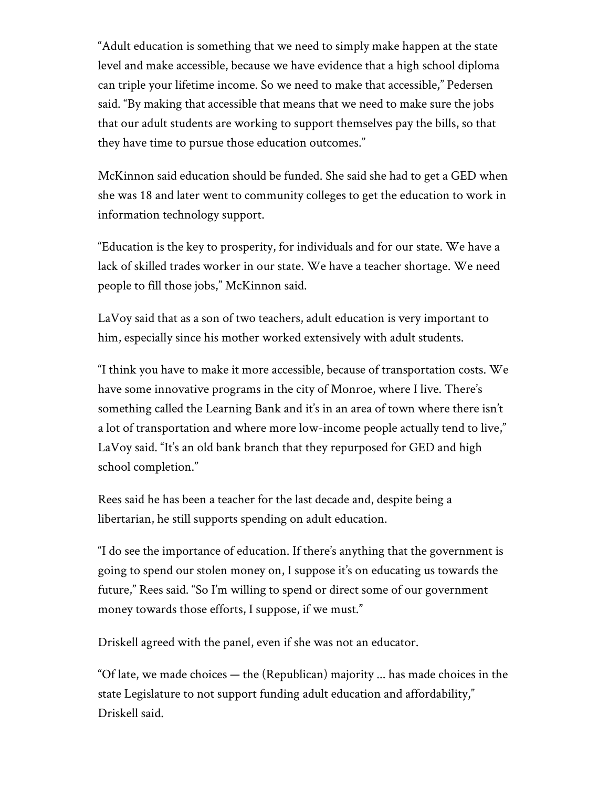"Adult education is something that we need to simply make happen at the state level and make accessible, because we have evidence that a high school diploma can triple your lifetime income. So we need to make that accessible," Pedersen said. "By making that accessible that means that we need to make sure the jobs that our adult students are working to support themselves pay the bills, so that they have time to pursue those education outcomes."

McKinnon said education should be funded. She said she had to get a GED when she was 18 and later went to community colleges to get the education to work in information technology support.

"Education is the key to prosperity, for individuals and for our state. We have a lack of skilled trades worker in our state. We have a teacher shortage. We need people to fill those jobs," McKinnon said.

LaVoy said that as a son of two teachers, adult education is very important to him, especially since his mother worked extensively with adult students.

"I think you have to make it more accessible, because of transportation costs. We have some innovative programs in the city of Monroe, where I live. There's something called the Learning Bank and it's in an area of town where there isn't a lot of transportation and where more low-income people actually tend to live," LaVoy said. "It's an old bank branch that they repurposed for GED and high school completion."

Rees said he has been a teacher for the last decade and, despite being a libertarian, he still supports spending on adult education.

"I do see the importance of education. If there's anything that the government is going to spend our stolen money on, I suppose it's on educating us towards the future," Rees said. "So I'm willing to spend or direct some of our government money towards those efforts, I suppose, if we must."

Driskell agreed with the panel, even if she was not an educator.

"Of late, we made choices — the (Republican) majority ... has made choices in the state Legislature to not support funding adult education and affordability," Driskell said.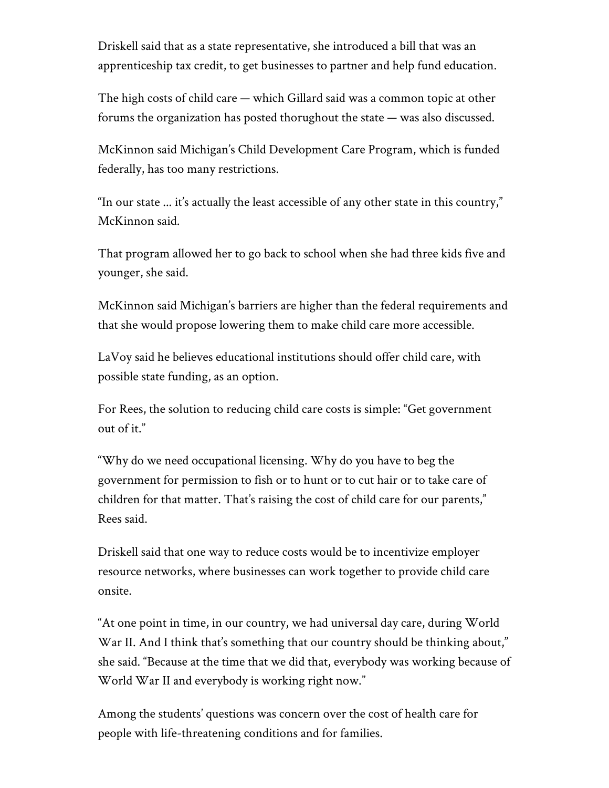Driskell said that as a state representative, she introduced a bill that was an apprenticeship tax credit, to get businesses to partner and help fund education.

The high costs of child care — which Gillard said was a common topic at other forums the organization has posted thorughout the state — was also discussed.

McKinnon said Michigan's Child Development Care Program, which is funded federally, has too many restrictions.

"In our state ... it's actually the least accessible of any other state in this country," McKinnon said.

That program allowed her to go back to school when she had three kids five and younger, she said.

McKinnon said Michigan's barriers are higher than the federal requirements and that she would propose lowering them to make child care more accessible.

LaVoy said he believes educational institutions should offer child care, with possible state funding, as an option.

For Rees, the solution to reducing child care costs is simple: "Get government out of it."

"Why do we need occupational licensing. Why do you have to beg the government for permission to fish or to hunt or to cut hair or to take care of children for that matter. That's raising the cost of child care for our parents," Rees said.

Driskell said that one way to reduce costs would be to incentivize employer resource networks, where businesses can work together to provide child care onsite.

"At one point in time, in our country, we had universal day care, during World War II. And I think that's something that our country should be thinking about," she said. "Because at the time that we did that, everybody was working because of World War II and everybody is working right now."

Among the students' questions was concern over the cost of health care for people with life-threatening conditions and for families.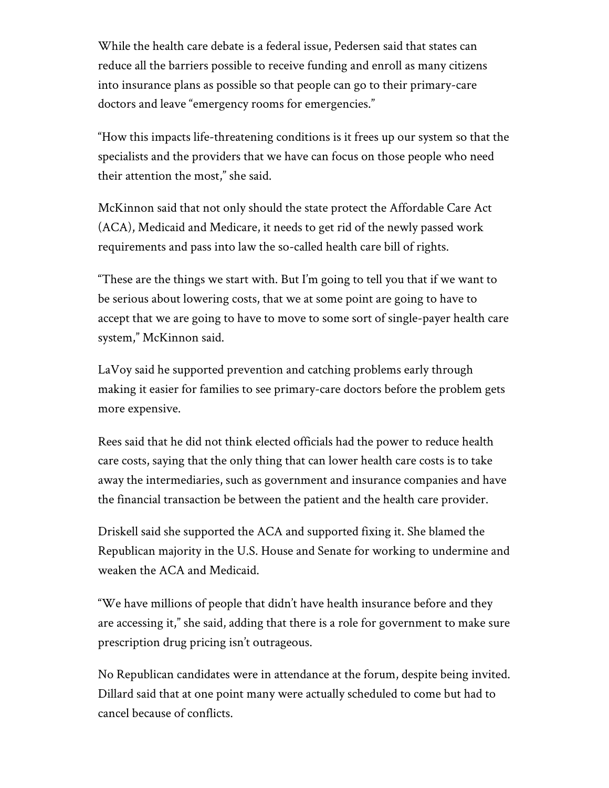While the health care debate is a federal issue, Pedersen said that states can reduce all the barriers possible to receive funding and enroll as many citizens into insurance plans as possible so that people can go to their primary-care doctors and leave "emergency rooms for emergencies."

"How this impacts life-threatening conditions is it frees up our system so that the specialists and the providers that we have can focus on those people who need their attention the most," she said.

McKinnon said that not only should the state protect the Affordable Care Act (ACA), Medicaid and Medicare, it needs to get rid of the newly passed work requirements and pass into law the so-called health care bill of rights.

"These are the things we start with. But I'm going to tell you that if we want to be serious about lowering costs, that we at some point are going to have to accept that we are going to have to move to some sort of single-payer health care system," McKinnon said.

LaVoy said he supported prevention and catching problems early through making it easier for families to see primary-care doctors before the problem gets more expensive.

Rees said that he did not think elected officials had the power to reduce health care costs, saying that the only thing that can lower health care costs is to take away the intermediaries, such as government and insurance companies and have the financial transaction be between the patient and the health care provider.

Driskell said she supported the ACA and supported fixing it. She blamed the Republican majority in the U.S. House and Senate for working to undermine and weaken the ACA and Medicaid.

"We have millions of people that didn't have health insurance before and they are accessing it," she said, adding that there is a role for government to make sure prescription drug pricing isn't outrageous.

No Republican candidates were in attendance at the forum, despite being invited. Dillard said that at one point many were actually scheduled to come but had to cancel because of conflicts.